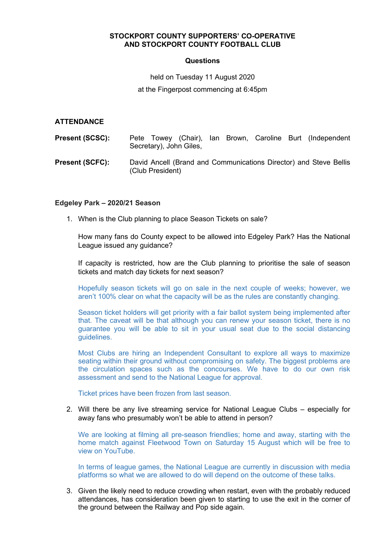# **STOCKPORT COUNTY SUPPORTERS' CO-OPERATIVE AND STOCKPORT COUNTY FOOTBALL CLUB**

## **Questions**

held on Tuesday 11 August 2020 at the Fingerpost commencing at 6:45pm

# **ATTENDANCE**

| <b>Present (SCSC):</b> | Pete Towey (Chair), Ian Brown, Caroline Burt (Independent<br>Secretary), John Giles,  |  |  |  |
|------------------------|---------------------------------------------------------------------------------------|--|--|--|
| <b>Present (SCFC):</b> | David Ancell (Brand and Communications Director) and Steve Bellis<br>(Club President) |  |  |  |

## **Edgeley Park – 2020/21 Season**

1. When is the Club planning to place Season Tickets on sale?

How many fans do County expect to be allowed into Edgeley Park? Has the National League issued any guidance?

If capacity is restricted, how are the Club planning to prioritise the sale of season tickets and match day tickets for next season?

Hopefully season tickets will go on sale in the next couple of weeks; however, we aren't 100% clear on what the capacity will be as the rules are constantly changing.

Season ticket holders will get priority with a fair ballot system being implemented after that. The caveat will be that although you can renew your season ticket, there is no guarantee you will be able to sit in your usual seat due to the social distancing guidelines.

Most Clubs are hiring an Independent Consultant to explore all ways to maximize seating within their ground without compromising on safety. The biggest problems are the circulation spaces such as the concourses. We have to do our own risk assessment and send to the National League for approval.

Ticket prices have been frozen from last season.

2. Will there be any live streaming service for National League Clubs – especially for away fans who presumably won't be able to attend in person?

We are looking at filming all pre-season friendlies; home and away, starting with the home match against Fleetwood Town on Saturday 15 August which will be free to view on YouTube.

In terms of league games, the National League are currently in discussion with media platforms so what we are allowed to do will depend on the outcome of these talks.

3. Given the likely need to reduce crowding when restart, even with the probably reduced attendances, has consideration been given to starting to use the exit in the corner of the ground between the Railway and Pop side again.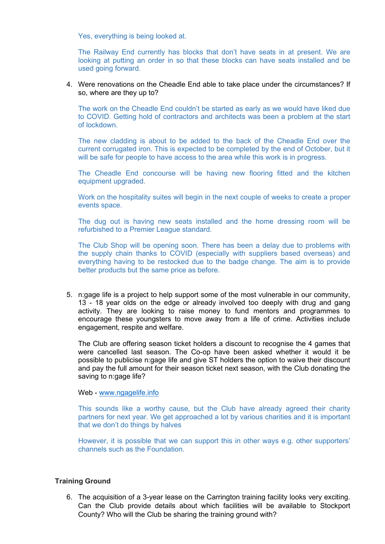Yes, everything is being looked at.

The Railway End currently has blocks that don't have seats in at present. We are looking at putting an order in so that these blocks can have seats installed and be used going forward.

#### 4. Were renovations on the Cheadle End able to take place under the circumstances? If so, where are they up to?

The work on the Cheadle End couldn't be started as early as we would have liked due to COVID. Getting hold of contractors and architects was been a problem at the start of lockdown.

The new cladding is about to be added to the back of the Cheadle End over the current corrugated iron. This is expected to be completed by the end of October, but it will be safe for people to have access to the area while this work is in progress.

The Cheadle End concourse will be having new flooring fitted and the kitchen equipment upgraded.

Work on the hospitality suites will begin in the next couple of weeks to create a proper events space.

The dug out is having new seats installed and the home dressing room will be refurbished to a Premier League standard.

The Club Shop will be opening soon. There has been a delay due to problems with the supply chain thanks to COVID (especially with suppliers based overseas) and everything having to be restocked due to the badge change. The aim is to provide better products but the same price as before.

5. n:gage life is a project to help support some of the most vulnerable in our community, 13 - 18 year olds on the edge or already involved too deeply with drug and gang activity. They are looking to raise money to fund mentors and programmes to encourage these youngsters to move away from a life of crime. Activities include engagement, respite and welfare.

The Club are offering season ticket holders a discount to recognise the 4 games that were cancelled last season. The Co-op have been asked whether it would it be possible to publicise n:gage life and give ST holders the option to waive their discount and pay the full amount for their season ticket next season, with the Club donating the saving to n:gage life?

# Web - [www.ngagelife.info](http://www.ngagelife.info/)

This sounds like a worthy cause, but the Club have already agreed their charity partners for next year. We get approached a lot by various charities and it is important that we don't do things by halves

However, it is possible that we can support this in other ways e.g. other supporters' channels such as the Foundation.

#### **Training Ground**

6. The acquisition of a 3-year lease on the Carrington training facility looks very exciting. Can the Club provide details about which facilities will be available to Stockport County? Who will the Club be sharing the training ground with?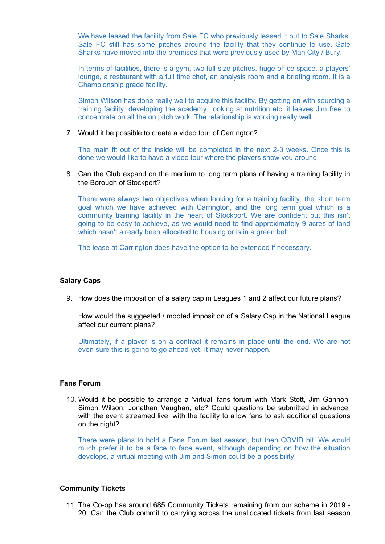We have leased the facility from Sale FC who previously leased it out to Sale Sharks. Sale FC still has some pitches around the facility that they continue to use. Sale Sharks have moved into the premises that were previously used by Man City / Bury.

In terms of facilities, there is a gym, two full size pitches, huge office space, a players' lounge, a restaurant with a full time chef, an analysis room and a briefing room. It is a Championship grade facility.

Simon Wilson has done really well to acquire this facility. By getting on with sourcing a training facility, developing the academy, looking at nutrition etc. it leaves Jim free to concentrate on all the on pitch work. The relationship is working really well.

7. Would it be possible to create a video tour of Carrington?

The main fit out of the inside will be completed in the next 2-3 weeks. Once this is done we would like to have a video tour where the players show you around.

8. Can the Club expand on the medium to long term plans of having a training facility in the Borough of Stockport?

There were always two objectives when looking for a training facility, the short term goal which we have achieved with Carrington, and the long term goal which is a community training facility in the heart of Stockport. We are confident but this isn't going to be easy to achieve, as we would need to find approximately 9 acres of land which hasn't already been allocated to housing or is in a green belt.

The lease at Carrington does have the option to be extended if necessary.

#### **Salary Caps**

9. How does the imposition of a salary cap in Leagues 1 and 2 affect our future plans?

How would the suggested / mooted imposition of a Salary Cap in the National League affect our current plans?

Ultimately, if a player is on a contract it remains in place until the end. We are not even sure this is going to go ahead yet. It may never happen.

#### **Fans Forum**

10. Would it be possible to arrange a 'virtual' fans forum with Mark Stott, Jim Gannon, Simon Wilson, Jonathan Vaughan, etc? Could questions be submitted in advance, with the event streamed live, with the facility to allow fans to ask additional questions on the night?

There were plans to hold a Fans Forum last season, but then COVID hit. We would much prefer it to be a face to face event, although depending on how the situation develops, a virtual meeting with Jim and Simon could be a possibility.

#### **Community Tickets**

11. The Co-op has around 685 Community Tickets remaining from our scheme in 2019 - 20, Can the Club commit to carrying across the unallocated tickets from last season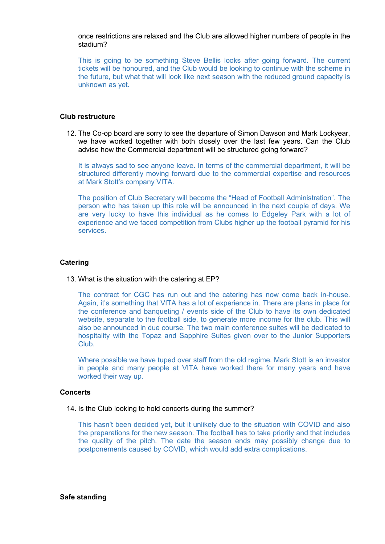once restrictions are relaxed and the Club are allowed higher numbers of people in the stadium?

This is going to be something Steve Bellis looks after going forward. The current tickets will be honoured, and the Club would be looking to continue with the scheme in the future, but what that will look like next season with the reduced ground capacity is unknown as yet.

#### **Club restructure**

12. The Co-op board are sorry to see the departure of Simon Dawson and Mark Lockyear, we have worked together with both closely over the last few years. Can the Club advise how the Commercial department will be structured going forward?

It is always sad to see anyone leave. In terms of the commercial department, it will be structured differently moving forward due to the commercial expertise and resources at Mark Stott's company VITA.

The position of Club Secretary will become the "Head of Football Administration". The person who has taken up this role will be announced in the next couple of days. We are very lucky to have this individual as he comes to Edgeley Park with a lot of experience and we faced competition from Clubs higher up the football pyramid for his services.

#### **Catering**

13. What is the situation with the catering at EP?

The contract for CGC has run out and the catering has now come back in-house. Again, it's something that VITA has a lot of experience in. There are plans in place for the conference and banqueting / events side of the Club to have its own dedicated website, separate to the football side, to generate more income for the club. This will also be announced in due course. The two main conference suites will be dedicated to hospitality with the Topaz and Sapphire Suites given over to the Junior Supporters Club.

Where possible we have tuped over staff from the old regime. Mark Stott is an investor in people and many people at VITA have worked there for many years and have worked their way up.

#### **Concerts**

#### 14. Is the Club looking to hold concerts during the summer?

This hasn't been decided yet, but it unlikely due to the situation with COVID and also the preparations for the new season. The football has to take priority and that includes the quality of the pitch. The date the season ends may possibly change due to postponements caused by COVID, which would add extra complications.